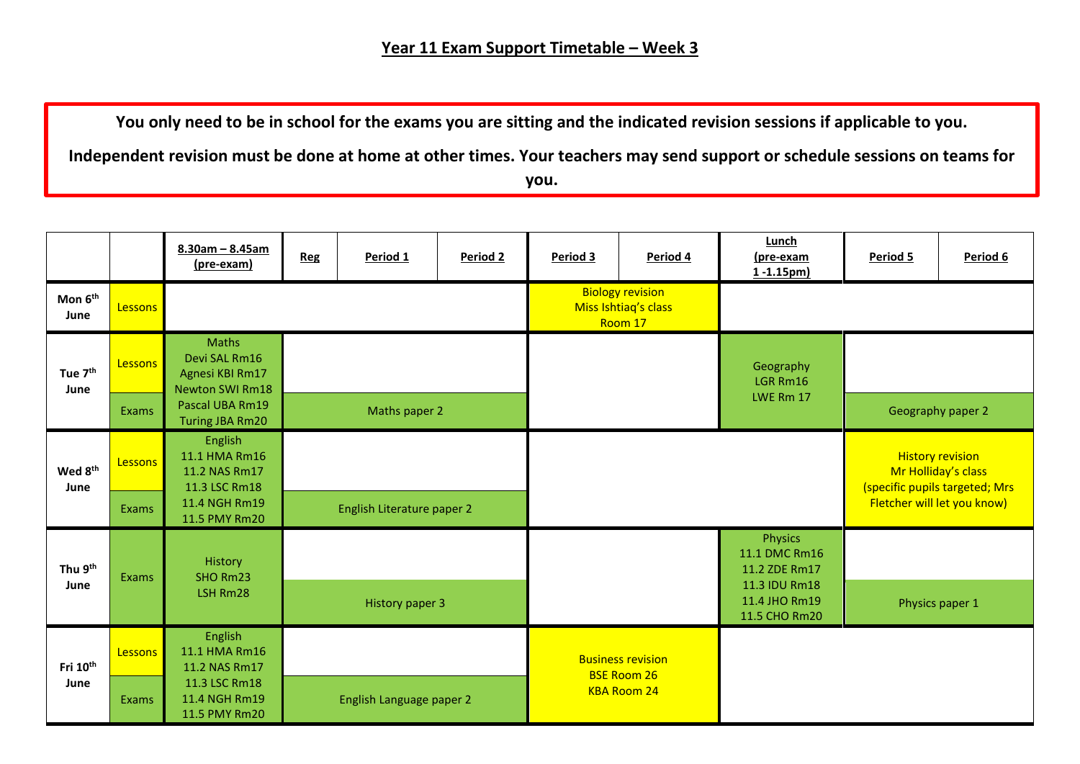**You only need to be in school for the exams you are sitting and the indicated revision sessions if applicable to you.** 

**Independent revision must be done at home at other times. Your teachers may send support or schedule sessions on teams for you.**

|                              |         | $8.30$ am - $8.45$ am<br>(pre-exam)                                        | <b>Reg</b>                 | Period 1                 | Period 2 | Period 3 | Period 4                                                   | Lunch<br>(pre-exam<br>1-1.15pm)                  | Period 5                                                                         | Period 6 |  |
|------------------------------|---------|----------------------------------------------------------------------------|----------------------------|--------------------------|----------|----------|------------------------------------------------------------|--------------------------------------------------|----------------------------------------------------------------------------------|----------|--|
| Mon 6 <sup>th</sup><br>June  | Lessons |                                                                            |                            |                          |          |          | <b>Biology revision</b><br>Miss Ishtiaq's class<br>Room 17 |                                                  |                                                                                  |          |  |
| Tue 7 <sup>th</sup><br>June  | Lessons | <b>Maths</b><br>Devi SAL Rm16<br>Agnesi KBI Rm17<br><b>Newton SWI Rm18</b> |                            |                          |          |          |                                                            | Geography<br>LGR Rm16                            |                                                                                  |          |  |
|                              | Exams   | Pascal UBA Rm19<br><b>Turing JBA Rm20</b>                                  | Maths paper 2              |                          |          |          |                                                            | LWE Rm 17                                        | Geography paper 2                                                                |          |  |
| Wed 8 <sup>th</sup><br>June  | Lessons | English<br>11.1 HMA Rm16<br>11.2 NAS Rm17<br>11.3 LSC Rm18                 |                            |                          |          |          |                                                            |                                                  | <b>History revision</b><br>Mr Holliday's class<br>(specific pupils targeted; Mrs |          |  |
|                              | Exams   | 11.4 NGH Rm19<br>11.5 PMY Rm20                                             | English Literature paper 2 |                          |          |          |                                                            |                                                  | Fletcher will let you know)                                                      |          |  |
| Thu 9th<br>June              | Exams   | History<br>SHO Rm23<br>LSH Rm28                                            |                            |                          |          |          |                                                            | <b>Physics</b><br>11.1 DMC Rm16<br>11.2 ZDE Rm17 |                                                                                  |          |  |
|                              |         |                                                                            | <b>History paper 3</b>     |                          |          |          | 11.3 IDU Rm18<br>11.4 JHO Rm19<br>11.5 CHO Rm20            | Physics paper 1                                  |                                                                                  |          |  |
| Fri 10 <sup>th</sup><br>June | Lessons | English<br>11.1 HMA Rm16<br>11.2 NAS Rm17                                  |                            |                          |          |          | <b>Business revision</b><br><b>BSE Room 26</b>             |                                                  |                                                                                  |          |  |
|                              | Exams   | 11.3 LSC Rm18<br>11.4 NGH Rm19<br>11.5 PMY Rm20                            |                            | English Language paper 2 |          |          | <b>KBA Room 24</b>                                         |                                                  |                                                                                  |          |  |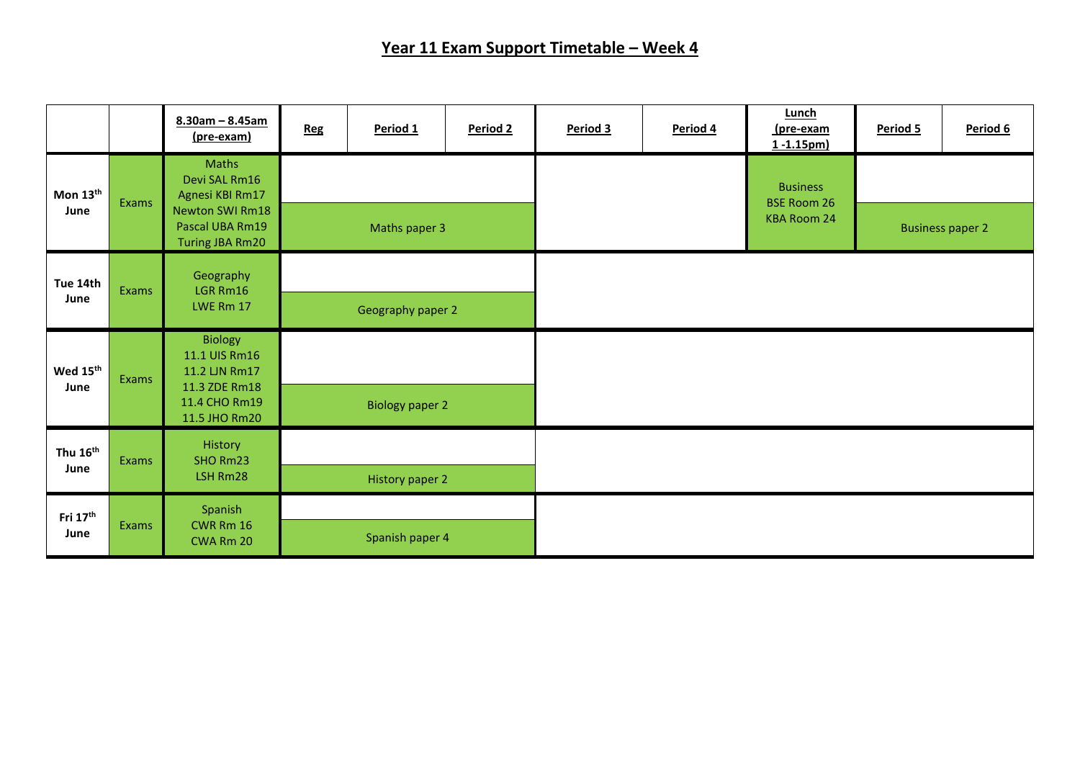## **Year 11 Exam Support Timetable – Week 4**

|                              |       | $8.30am - 8.45am$<br>(pre-exam)                                                                    | <b>Reg</b>        | Period 1               | Period 2 | Period 3 | Period 4 | Lunch<br><u>(pre-exam</u><br>$1 - 1.15pm$ | Period 5                | Period 6 |
|------------------------------|-------|----------------------------------------------------------------------------------------------------|-------------------|------------------------|----------|----------|----------|-------------------------------------------|-------------------------|----------|
| Mon 13th<br>June             | Exams | Maths<br>Devi SAL Rm16<br>Agnesi KBI Rm17<br>Newton SWI Rm18<br>Pascal UBA Rm19<br>Turing JBA Rm20 |                   |                        |          |          |          | <b>Business</b><br><b>BSE Room 26</b>     |                         |          |
|                              |       |                                                                                                    | Maths paper 3     |                        |          |          |          | <b>KBA Room 24</b>                        | <b>Business paper 2</b> |          |
| Tue 14th<br>June             | Exams | Geography<br>LGR Rm16<br>LWE Rm 17                                                                 | Geography paper 2 |                        |          |          |          |                                           |                         |          |
| Wed 15th<br>June             | Exams | <b>Biology</b><br>11.1 UIS Rm16<br>11.2 UN Rm17<br>11.3 ZDE Rm18<br>11.4 CHO Rm19<br>11.5 JHO Rm20 |                   |                        |          |          |          |                                           |                         |          |
|                              |       |                                                                                                    |                   | <b>Biology paper 2</b> |          |          |          |                                           |                         |          |
| Thu 16 <sup>th</sup><br>June | Exams | History<br>SHO Rm23<br>LSH Rm28                                                                    |                   | History paper 2        |          |          |          |                                           |                         |          |
| Fri $17th$<br>June           | Exams | Spanish<br><b>CWR Rm 16</b><br>CWA Rm 20                                                           |                   | Spanish paper 4        |          |          |          |                                           |                         |          |